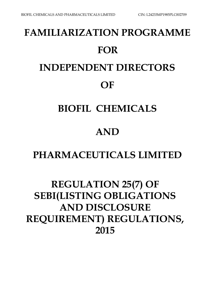# **FAMILIARIZATION PROGRAMME FOR INDEPENDENT DIRECTORS OF**

### **BIOFIL CHEMICALS**

## **AND**

### **PHARMACEUTICALS LIMITED**

# **REGULATION 25(7) OF SEBI(LISTING OBLIGATIONS AND DISCLOSURE REQUIREMENT) REGULATIONS, 2015**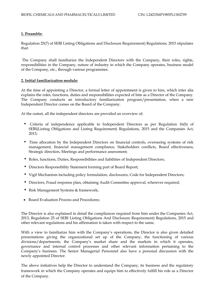### **1. Preamble:**

Regulation 25(7) of SEBI Listing Obligations and Disclosure Requirement) Regulations, 2015 stipulates that:

The Company shall familiarize the Independent Directors with the Company, their roles, rights, responsibilities in the Company, nature of industry in which the Company operates, business model of the Company, etc., through various programmes.

### **2. Initial familiarization module:**

At the time of appointing a Director, a formal letter of appointment is given to him, which inter alia explains the roles, functions, duties and responsibilities expected of him as a Director of the Company. The Company conducts an introductory familiarization program/presentation, when a new Independent Director comes on the Board of the Company.

At the outset, all the independent directors are provided an overview of;

- Criteria of independence applicable to Independent Directors as per Regulation 16(b) of SEBI(Listing Obligations and Listing Requirement) Regulations, 2015 and the Companies Act, 2013;
- Time allocation by the Independent Directors on financial controls, overseeing systems of risk management, financial management compliance, Stakeholders conflicts, Board effectiveness, Strategic direction, Meetings and performance assessment;
- Roles, functions, Duties, Responsibilities and liabilities of Independent Directors;
- Directors Responsibility Statement forming part of Board Report;
- Vigil Mechanism including policy formulation, disclosures, Code for Independent Directors;
- Directors, Fraud response plan, obtaining Audit Committee approval, wherever required;
- Risk Management Systems & framework;
- Board Evaluation Process and Procedures;

The Director is also explained in detail the compliances required from him under the Companies Act, 2013, Regulation 25 of SEBI Listing Obligations And Disclosure Requirement) Regulations, 2015 and other relevant regulations and his affirmation is taken with respect to the same.

With a view to familiarize him with the Company's operations, the Director is also given detailed presentations giving the organizational set up of the Company, the functioning of various divisions/departments, the Company's market share and the markets in which it operates, governance and internal control processes and other relevant information pertaining to the Company's business. The Senior Managerial Personnel also have a personal discussion with the newly appointed Director.

The above initiatives help the Director to understand the Company, its business and the regulatory framework in which the Company operates and equips him to effectively fulfill his role as a Director of the Company.